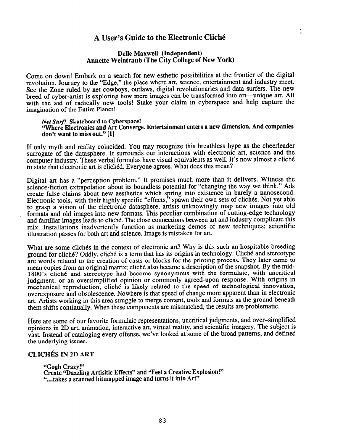# A User's Guide to the Electronic Clich6

## Delle Maxwell (Independent) Annette Weintraub (The City College of New York)

Come on down! Embark on a search for new esthetic possibilities at the frontier of the digital revolution. Journey to the "Edge," the place where art, science, entertainment and industry meet. See the Zone ruled by net cowboys, outlaws, digital revolutionaries and data surfers. The new breed of cyber-artist is exploring how mere images can be transformed into art-unique art. All with the aid of radically new tools! Stake your claim in cyberspace and help capture the imagination of the Entire Planet!

#### Net Surf! Skateboard to Cyberspace!

'Where Electronics and Art Converge. Entertainment enters a new dimension. And companies don't want to miss out." [l]

If only myth and reality coincided. You may recognize this breathless hype as the cheerleader surrogate of the datasphere. It surrounds our interactions with electronic art, science and the computer industry. These verbal formulas have visual equivalents as well. It's now almost a cliche to state that electronic art is cliched. Everyone agrees. What does this mean?

Digital art has a "perception problem." It promises much more than it delivers. Witness the science-fiction extrapolation about its boundless potential for "changing the way we think." Ads create false claims about new aesthetics which spring into existence in barely a nanosecond. Electronic tools, with their highly specific "effects," spawn their own sets of cliches. Not yet able to grasp a vision of the electronic datasphere, artists unknowingly map new images into old formats and old images into new formats. This peculiar combination of cutting-edge technology and familiar images leads to cliche. The close connections between art and industry complicate this mix. Installations inadvertently function as marketing demos of new techniques; scientific illustration passes for both art and science. Image is mistaken for art.

What are some clichés in the context of electronic art? Why is this such an hospitable breeding ground for cliché? Oddly, cliché is a term that has its origins in technology. Cliché and stereotype are words related to the creation of casts or blocks for the printing process. They later came to mean copies from an original matrix; cliché also became a description of the snapshot. By the mid-1800's cliche and stereotype had become synonymous with the formulaic, with uncritical judgment, or an oversimplified opinion or commonly agreed-upon response. With origins in mechanical reproduction, cliche is likely related to the speed of technological innovation, overexposure and obsolescence. Nowhere is that speed of change more apparent than in electronic art. Artists working in this area struggle to merge content, tools and formats as the ground beneath them shifts continually. When these components are mismatched, the results are problematic.

Here are some of our favorite formulaic representations, uncritical judgments, and over-simplified opinions in 2D art, animation, interactive art, virtual reality, and scientific imagery. The subject is vast. Instead of cataloging every offense, we've looked at some of the broad patterns, and defined the underlying issues.

## CLICHÉS IN 2D ART

"Gogh Crazy!'9 Create "Dazzling Artisitic Effects" and "Feel a Creative Explosion!" "...takes a scanned bitmapped image and turns it into Art"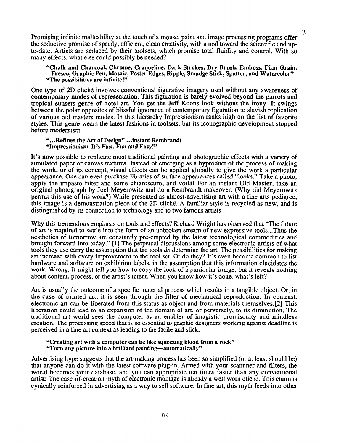Promising infinite malleability at the touch of a mouse, paint and image processing programs offer <sup>2</sup> the seductive promise of speedy, efficient, clean creativity, with a nod toward the scientific and upto-date. Artists are seduced by their toolsets, which promise total fluidity and control. With so many effects, what else could possibly be needed?

'Chalk and Charcoal, Chrome, Craqueline, Dark Strokes, Dry Brush, Emboss, Film Grain, Fresco, Graphic Pen, Mosaic, Poster Edges, Ripple, Smudge Stick, Spatter, and Watercolor" "The possibilities are infinite!"

One type of 2D cliche involves conventional figurative imagery used without any awareness of contemporary modes of representation. This figuration is barely evolved beyond the parrots and tropical sunsets genre of hotel art. You get the Jeff Koons look without the irony. It swings between the polar opposites of blissful ignorance of contemporary figuration to slavish replication of various old masters modes. In this hierarchy Impressionism ranks high on the list of favorite styles. This genre wears the latest fashions in toolsets, but its iconographic development stopped before modernism.

### "...Refmes the Art of Design" . ..instant Rembrandt 'Impressionism. It's Fast, Fun and Easy!"

It's now possible to replicate most traditional painting and photographic effects with a variety of simulated paper or canvas textures. Instead of emerging as a byproduct of the process of making the work, or of its concept, visual effects can be applied globally to give the work a particular appearance. One can even purchase libraries of surface appearances called "looks." Take a photo, apply the impasto filter and some chiaroscuro, and voila! For an instant Old Master, take an original photograph by Joel Meyerowitz and do a Rembrandt makeover. (Why did Meyerowitz permit this use of his work?) While presented as almost-advertising art with a fine arts pedigree, this image is a demonstration piece of the 2D cliche. A familiar style is recycled as new, and is distinguished by its connection to technology and to two famous artists.

Why this tremendous emphasis on tools and effects? Richard Wright has observed that "The future of art is required to settle into the form of au unbroken stream of new expressive tools...Thus the aesthetics of tomorrow are constantly pre-empted by the latest technological commodities and brought forward into today." [l] The perpetual discussions among some electronic artists of what tools they use carry the assumption that the tools do determine the art. The possibilities for making art increase with every improvement to the too1 set. Or do they? It's even become common to list hardware and software on exhibition labels, in the assumption that this information elucidates the work. Wrong. It might tell you how to copy the look of a particular image, but it reveals nothing about content, process, or the artist's intent. When you know how it's done, what's left?

Art is usually the outcome of a specific material process which results in a tangible object. Or, in the case of printed art, it is seen through the filter of mechanical reproduction. In contrast, electronic art can be liberated from this status as object and from materials themselves.[2] This liberation could lead to an expansion of the domain of art, or perversely, to its diminution. The traditional art world sees the computer as an enabler of imagistic promiscuity and mindless creation. The processing speed that is so essential to graphic designers working against deadline is perceived in a fine art context as leading to the facile and slick.

## "Creating art with a computer can be like squeezing blood from a rock" "Turn any picture into a brilliant painting-automatically "

Advertising hype suggests that the art-making process has been so simplified (or at least should be) that anyone can do it with the latest software plug-in. Armed with your scannner and filters, the world becomes your database, and you can appropriate ten times faster than any conventional artist! The ease-of-creation myth of electronic montage is already a well worn cliche. This claim is cynically reinforced in advertising as a way to sell software. In fine art, this myth feeds into other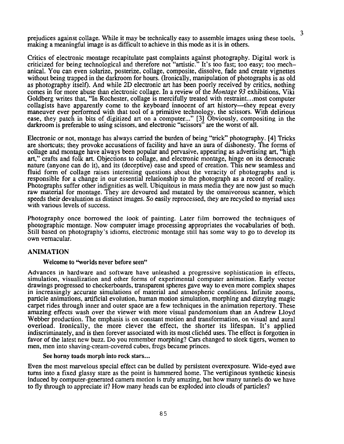prejudices against collage. While it may be technically easy to assemble images using these tools, <sup>3</sup> making a meaningful image is as difficult to achieve in this mode as it is in others.

Critics of electronic montage recapitulate past complaints against photography. Digital work is criticized for being technological and therefore not "artistic." It's too fast; too easy; too mechanical. You can even solarize, posterize, collage, composite, dissolve, fade and create vignettes without being trapped in the darkroom for hours. (Ironically, manipulation of photographs is as old as photography itself). And while 2D electronic art has been poorly received by critics, nothing comes in for more abuse than electronic collage. In a review of the Montage 93 exhibitions, Viki Goldberg writes that, "In Rochester, collage is mercifully treated with restraint.. .most computer collagists have apparently come to the keyboard innocent of art history—they repeat every maneuver ever performed with that tool of a primitive technology, the scissors. With delirious ease, they patch in bits of digitized art on a computer..." [3] Obviously, compositing in the darkroom is preferable to using scissors, and electronic "scissors" are the worst of all.

Electronic or not, montage has always carried the burden of being "trick" photography. [4] Tricks are shortcuts; they provoke accusations of facility and have an aura of dishonesty. The forms of collage and montage have always been popular and pervasive, appearing as advertising art, "high art," crafts and folk art. Objections to collage, and electronic montage, hinge on its democratic nature (anyone can do it), and its (deceptive) ease and speed of creation. This new seamless and fluid form of collage raises interesting questions about the veracity of photographs and is responsible for a change in our essential relationship to the photograph as a record of reality. Photographs suffer other indignities as well. Ubiquitous in mass media they are now just so much raw material for montage. They are devoured and mutated by the omnivorous scanner, which speeds their devaluation as distinct images. So easily reprocessed, they are recycled to myriad uses with various levels of success.

Photography once borrowed the look of painting. Later film borrowed the techniques of photographic montage. Now computer image processing appropriates the vocabularies of both. Still based on photography 's idioms, electronic montage still has some way to go to develop its own vernacular.

### ANIMATION

## Welcome to "worlds never before seen"

Advances in hardware and software have unleashed a progressive sophistication in effects, simulation, visualization and other forms of experimental computer animation. Early vector drawings progressed to checkerboards, transparent spheres gave way to even more complex shapes in increasingly accurate simulations of material and atmospheric conditions. Infinite zooms, particle animations, artificial evolution, human motion simulation, morphing and dizzying magic carpet rides through inner and outer space are a few techniques in the animation repertory. These amazing effects wash over the viewer with more visual pandemonium than an Andrew Lloyd Webber production. The emphasis is on constant motion and transformation, on visual and aural overload. Ironically, the more clever the effect, the shorter its lifespan. It's applied indiscriminately, and is then forever associated with its most clichéd uses. The effect is forgotten in favor of the latest new buzz. Do you remember morphing? Cars changed to sleek tigers, women to men, men into shaving-cream-covered cubes, frogs became princes.

#### See horny toads morph into rock stars...

Even the most marvelous special effect can be dulled by persistent overexposure. Wide-eyed awe turns into a fixed glassy stare as the point is hammered home. The vertiginous synthetic kinesis induced by computer-generated camera motion is truly amazing, but how many tunnels do we have to fly through to appreciate it? How many heads can be exploded into clouds of particles?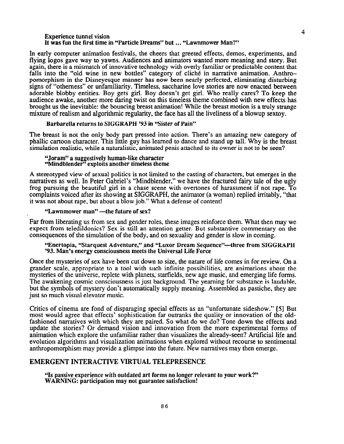#### Experience tunnel vision It was fun the first time in "Particle Dreams" but ... "Lawnmower Man?"

In early computer animation festivals, the cheers that greeted effects, demos, experiments, and flying logos gave way to yawns. Audiences and animators wanted more meaning and story. But again, there is a mismatch of innovative technology with overly familiar or predictable content that falls into the "old wine in new bottles" category of cliché in narrative animation. Anthropomorphism in the Disneyesque manner has now been nearly perfected, eliminating disturbing signs of "otherness" or unfamiliarity. Timeless, saccharine love stories are now enacted between adorable blobby entities. Boy gets girl. Boy doesn't get girl. Who really cares? To keep the audience awake, another more daring twist on this timeless theme combined with new effects has brought us the inevitable: the bouncing breast animation! While the breast motion is a truly strange mixture of realism and algorithmic regularity, the face has all the liveliness of a blowup sextoy.

Barbarella returns to SIGGRAPH '93 in "Sister of Pain"

The breast is not the only body part pressed into action. There's an amazing new category of phallic cartoon character. This little guy has learned to dance and stand up tall. Why is the breast simulation realistic, while a naturalistic, animated penis attached to its owner is not to be seen?

#### "Joram" a suggestively human-like character "Mindblender" exploits another timeless theme

A stereotyped view of sexual politics is not limited to the casting of characters, but emerges in the narratives as well. In Peter Gabriel's "Mindblender," we have the fractured fairy tale of the ugly frog pursuing the beautiful girl in a chase scene with overtones of harassment if not rape. To complaints voiced after its showing at SIGGRAPH, the animator (a woman) replied irritably, "that it was not about rape, but about a blow job." What a defense of content!

"Lawnmower man" -- the future of sex?

Far from liberating us from sex and gender roles, these images reinforce them. What then may we expect from teledildonics? Sex is still an attention getter. But substantive commentary on the consequences ofthe simulation of the body, and on sexuality and gender is slow in coming.

## "Enertopia, "Starquest Adventure," and "Luxor Dream Sequence"—three from SIGGRAPH '93. Man's energy consciousness meets the Universal Life Force

Once the mysteries of sex have been cut down to size, the nature of life comes in for review. On a grander scale, appropriate to a tool with such infinite possibilities, are animations about the mysteries of the universe, replete with planets, starfields, new age music, and emerging life forms. The awakening cosmic consciousness is just background. The yearning for substance is laudable, but the symbols of mystery don't automatically supply meaning. Assembled as pastiche, they are just so much visual elevator music.

Critics of cinema are fond of disparaging special effects as an "unfortunate sideshow. " [5] But most would agree that effects' sophistication far outranks the quality or innovation of the oldfashioned narratives with which they are paired. So what do we do? Tone down the effects and update the stories? Or demand vision and innovation from the more experimental forms of animation which explore the unfamiliar rather than visualizes the already-seen? Artificial life and evolution algorithms and visualization animations when explored without recourse to sentimental anthropomorphism may provide a glimpse into the future. New narratives may then emerge.

## EMERGENT INTERACTIVE VIRTUAL TELEPRESENCE

'ls passive experience with outdated art forms no longer relevant to your work?" WARNING: participation may not guarantee satisfaction!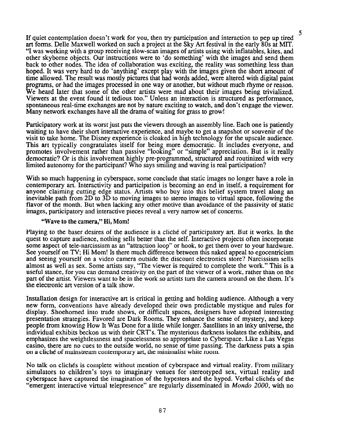If quiet contemplation doesn't work for you, then try participation and interaction to pep up tired <sup>5</sup> art forms. Delle Maxwell worked on such a project at the Sky Art festival in the early 80s at MIT. "I was working with a group receiving slow-scan images of artists using with inflatables, kites, and other skybome objects. Our instructions were to 'do something' with the images and send them back to other nodes. The idea of collaboration was exciting, the reality was something less than hoped. It was very hard to do 'anything' except play with the images given the short amount of time allowed. The result was mostly pictures that had words added, were altered with digital paint programs, or had the images processed in one way or another, but without much rhyme or reason. We heard later that some of the other artists were mad about their images being trivialized. Viewers at the event found it tedious too." Unless an interaction is structured as performance, spontaneous real-time exchanges are not by nature exciting to watch, and don't engage the viewer. Many network exchanges have all the drama of waiting for grass to grow!

Participatory work at its worst just puts the viewers through an assembly line. Each one is patiently waiting to have their short interactive experience, and maybe to get a snapshot or souvenir of the visit to take home. The Disney experience is cloaked in high technology for the upscale audience. This art typically congratulates itself for being more democratic. It includes everyone, and promotes involvement rather than passive "looking" or "simple" appreciation. But is it really democratic? Or is this involvement highly pre-programmed, structured and routinized with very limited autonomy for the participant? Who says smiling and waving is real participation?

With so much happening in cyberspace, some conclude that static images no longer have a role in contemporary art. Interactivity and participation is becoming an end in itself, a requirement for anyone claiming cutting edge status. Artists who buy into this belief system travel along an inevitable path from 2D to 3D to moving images to stereo images to virtual space, following the flavor of the month. But when lacking any other motive than avoidance of the passivity of static images, participatory and interactive pieces reveal a very narrow set of concerns.

### "Wave to the camera," Hi, Mom!

Playing to the baser desires of the audience is a cliche of participatory art. But it works. In the quest to capture audience, nothing sells better than the self. Interactive projects often incorporate some aspect of tele-narcissism as an "attraction loop" or hook, to get them over to your hardware. See yourself on TV; Hi Mom! Is there much difference between this naked appeal to egocentricism and seeing yourself on a video camera outside the discount electronics store? Narcissism sells almost as well as sex. Some artists say, "The viewer is required to complete the work." This is a useful stance, for you can demand creativity on.the part of the viewer of a work, rather than on the part of the artist. Viewers want to be in the work so artists turn the camera around on the them. It's the electronic art version of a talk show.

Installation design for interactive art is critical in getting and holding audience. Although a very new form, conventions have already developed their own predictable mystique and rules for display. Shoehomed into trade shows, or difficult spaces, designers have adopted interesting presentation strategies. Favored are Dark Rooms. They enhance the sense of mystery, and keep people from knowing How It Was Done for a little while longer. Satellites in an inky universe, the individual exhibits beckon us with their CRT's. The mysterious darkness isolates the exhibits, and emphasizes the weightlessness and spacelessness so appropriate to Cyberspace. Like a Las Vegas casino, there are no cues to the outside world, no sense of time passing. The darkness puts a spin on a cliche of mainstream contemporary art, the minimalist white room.

No talk on cliches is complete without mention of cyberspace and virtual reality. From military simulators to children's toys to imaginary venues for stereotyped sex, virtual reality and cyberspace have captured the imagination of the hypesters and the hyped. Verbal cliches of the "emergent interactive virtual telepresence" are regularly disseminated in *Mondo 2000*, with no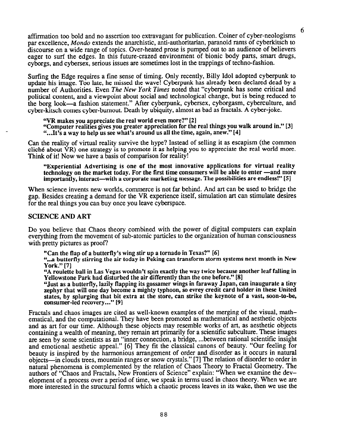affirmation too bold and no assertion too extravagant for publication. Coiner of cyber-neologisms par excellence, Mondo extends the anarchistic, anti-authoritarian, paranoid rants of cyberkitsch to discourse on a wide range of topics. Over-heated prose is pumped out to an audience of believers eager to surf the edges. In this future-crazed environment of bionic body parts, smart drugs, cyborgs, and cybersex, serious issues are sometimes lost in the trappings of techno-fashion.

Surfing the Edge requires a fine sense of timing. Only recently, Billy Idol adopted cyberpunk to update his image. Too late, he missed the wave! Cyberpunk has already been declared dead by a number of Authorities. Even The New York Times noted that "cyberpunk has some critical and political content, and a viewpoint about social and technological change, but is being reduced to the borg look-a fashion statement." After cyberpunk, cybersex, cyborgasm, cyberculture, and cyber-kitsch comes cyber-burnout. Death by ubiquity, almost as bad as fractals. A cyber-joke.

"VR makes you appreciate the real world even more?" [2]

"Computer realities gives you greater appreciation for the real things you walk around in." [3] "...It's a way to help us see what's around us all the time, again, anew." [4]

Can the reality of virtual reality survive the hype? Instead of selling it as escapism (the common cliché about  $\dot{V}R$ ) one strategy is to promote it as helping you to appreciate the real world more. Think of it! Now we have a basis of comparison for reality!

"Experiential Advertising is one of the most innovative applications for virtual reality technology on the market today. For the first time consumers will be able to enter -and more importantly, interact—with a corporate marketing message. The possibilities are endless!" [5]

When science invents new worlds, commerce is not far behind. And art can be used to bridge the gap. Besides creating a demand for the VR experience itself, simulation art can stimulate desires for'the real things you can buy once you leave cyberspace.

# SCIENCE AND ART

Do you believe that Chaos theory combined with the power of digital computers can explain everything from the movement of sub-atomic particles to the organization of human consciousness with pretty pictures as proof?

"Can the flap of a butterfly's wing stir up a tornado in Texas?" [6]

"... a butterfly stirring the air today in Peking can transform storm systems next month in New York." [7]

"A roulette ball in Las Vegas wouldn't spin exactly the way twice because another leaf falling in Yellowstone Park had disturbed the air differently than the one before." [8]

"Just as a butterfly, lazily flapping its gossamer wings in faraway Japan, can inaugurate a tiny zephyr that will one day become a mighty typhoon, so evrey credit card holder in these United states, by splurging that bit extra at the store, can strike the keynote of a vast, soon-to-be, consumer-led recovery..." [9]

Fractals and chaos images are cited as well-known examples of the merging of the visual, mathematical, and the computational. They have been promoted as mathematical and aesthetic objects and as art for our time. Although these objects may resemble works of art, as aesthetic objects containing a wealth of meaning, they remain art primarily for a scientific subculture. These images are seen by some scientists as an "inner connection, abridge, . ..between rational scientific insight and emotional aesthetic appeal." [6] They fit the classical canons of beauty. "Our feeling for beauty is inspired by the harmonious arrangement of order and disorder as it occurs in natural objects-in clouds trees, mountain ranges or snow crystals." [7] The relation of disorder to order in natural phenomena is complemented by the relation of Chaos Theory to Fractal Geometry. The authors of "Chaos and Fractals, New Frontiers of Science" explain: "When we examine the development of a process over a period of time, we speak in terms used in chaos theory. When we are more interested in the structural forms which a chaotic process leaves in its wake, then we use the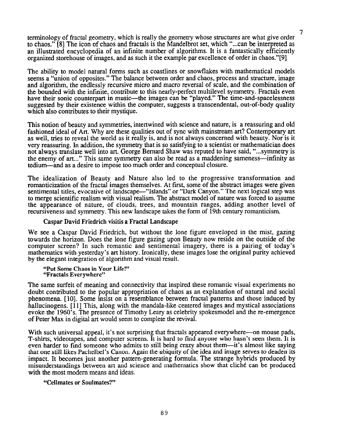terminology of fractal geometry, which is really the geometry whose structures are what give order to chaos." [8] The icon of chaos and fractals is the Mandelbrot set, which "...can be interpreted as an illustrated encyclopedia of an infinite number of algorithms. It is a fantastically efficiently organized storehouse of images, and as such it the example par excellence of order in chaos."[9]

7

The ability to model natural forms such as coastlines or snowflakes with mathematical models seems a "union of opposites." The balance between order and chaos, process and structure, image and algorithm, the endlessly recursive micro and macro reversal of scale, and the combination of the bounded with the infinite, contribute to this nearly-perfect multilevel symmetry, Fractals even have their sonic counterpart in music—the images can be "played." The time-and-spacelessness suggested by their existence within the computer, suggests a transcendental, out-of-body quality which also contributes to their mystique.

This notion of beauty and symmetries, intertwined with science and nature, is a reassuring and old fashioned ideal of Art. Why are these qualities out of sync with mainstream art? Contemporary art as well, tries to reveal the world as it really is, and is not always concerned with beauty. Nor is it very reassuring. In addition, the symmetry that is so satisfying to a scientist or mathematician does not always translate well into art. George Bernard Shaw was reputed to have said, "...symmetry is the enemy of art..." This same symmetry can also be read as a maddening sameness-infinity as tedium—and as a desire to impose too much order and conceptual closure.

The idealization of Beauty and Nature also led to the progressive transformation and romanticization of the fractal images themselves. At first, some of the abstract images were given sentimental titles, evocative of landscape—"Islands" or "Dark Canyon." The next logical step was to merge scientific realism with visual realism. The abstract model of nature was forced to assume the appearance of nature, of clouds, trees, and mountain ranges, adding another level of recursiveness and symmetry. This new landscape takes the form of 19th century romanticism.

## Caspar David Friedrich visitis a Fractal Landscape

We see a Caspar David Friedrich, but without the lone figure enveloped in the mist, gazing towards the horizon. Does the lone figure gazing upon Beauty now reside on the outside of the computer screen? In such romantic and sentimental imagery, there is a pairing of today's mathematics with yesterday's art history. Ironically, these images lose the original purity achieved by the elegant integration of algorithm and visual result.

"Put Some Chaos in Your Life!" "Fractals Everywhere"

The same surfeit of meaning and connectivity that inspired these romantic visual experiments no doubt contributed to the popular appropriation of chaos as an explanation of natural and social phenomena. [lo]. Some insist on a resemblance between fractal patterns and those induced by hallucinogens. [11] This, along with the mandala-like centered images and mystical associations evoke the 1960's. The presence of Timothy Leary as celebrity spokesmodel and the re-emergence of Peter Max in digital art would seem to complete the revival.

With such universal appeal, it's not surprising that fractals appeared everywhere—on mouse pads, T-shirts, videotapes, and computer screens. It is hard to find anyone who hasn't seen them. It is even harder to find someone who admits to still being crazy about them—it's almost like saying that one still likes Pachelbel 's Canon. Again the ubiquity of the idea and image serves to deaden its impact. It becomes just another pattern-generating formula. The strange hybrids produced by misunderstandings between art and science and mathematics show that cliche can be produced with the most modern means and ideas.

## "Cellmates or Soulmates?"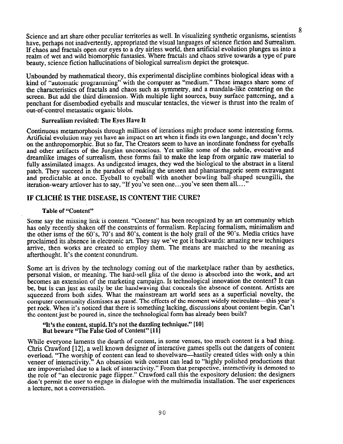8 Science and art share other peculiar territories as well. In visualizing synthetic organisms, scientists have, perhaps not inadvertently, appropriated the visual languages of science fiction and Surrealism. If chaos and fractals open our eyes to a dry airless world, then artificial evolution plunges us into a realm of wet and wild biomorphic fantasies. Where fractals and chaos strive towards a type of pure beauty, science fiction hallucinations of biological surrealism depict the grotesque.

Unbounded by mathematical theory, this experimental discipline combines biological ideas with a kind of "automatic programming" with the computer as "medium." These images share some of the characteristics of fractals and chaos such as symmetry, and a mandala-like centering on the screen. But add the third dimension. With multiple light sources, busy surface patterning, and a penchant for disembodied eyeballs and muscular tentacles, the viewer is thrust into the realm of out-of-control metastatic organic blobs.

## Surrealiism revisited: The Eyes Have It

Continuous metamorphosis through millions of iterations might produce some interesting forms. Artificial evolution may yet have an impact on art when it finds its own language, and doesn't rely on the anthropomorphic. But so far, The Creators seem to have an inordinate fondness for eyeballs and other artifacts of the Jungian unconscious. Yet unlike some of the subtle, evocative and dreamlike images of surrealism, these forms fail to make the leap from organic raw material to fully assimilated images. As undigested images, they wed the biological to the abstract in a literal patch. They succeed in the paradox of making the unseen and phantasmagoric seem extravagant and predictable at once. Eyeball to eyeball with another bowling ball-shaped scungilli, the iteration-weary artlover has to say, "If you've seen one...you've seen them all...."

# IF CLICHÉ IS THE DISEASE, IS CONTENT THE CURE?

## Table of "Content"

Some say the missing link is content. "Content" has been recognized by an art community which has only recently shaken off the constraints of formalism. Replacing formalism, minimalism and the other isms of the 60's, 70's and 80's, content is the holy grail of the 90's. Media critics have proclaimed its absence in electronic art. They say we've got it backwards: amazing new techniques arrive, then works are created to employ them. The means are matched to the meaning as afterthought. It's the content conundrum.

Some art is driven by the technology coming out of the marketplace rather than by aesthetics. personal vision, or meaning. The hard-sell glitz of the demo is absorbed into the work, and art becomes an extension of the marketing campaign. Is technological innovation the content? It can be, but is can just as easily be the handwaving that conceals the absence of content. Artists are squeezed from both sides. What the mainstream art world sees as a superficial novelty, the computer community dismisses as passé. The effects of the moment widely recirculate—this year's pet rock. When it's noticed that there is something lacking, discussions about content begin. Can't the content just be poured in, since the technological form has already been built?

"It's the content, stupid. It's not the dazzling technique." [10] But beware "The False God of Content" [11]

While everyone laments the dearth of content, in some venues, too much content is a bad thing. Chris Crawford [12], a well known designer of interactive games spells out the dangers of content overload. "The worship of content can lead to shovelware-hastily created titles with only a thin veneer of interactivity." An obsession with content can lead to "highly polished productions that are impoverished due to a lack of interactivity." From that perspective, interactivity is demoted to the role of "an electronic page flipper." Crawford call this the expository delusion: the designers don't permit the user to engage in dialogue with the multimedia installation. The user experiences a lecture, not a conversation.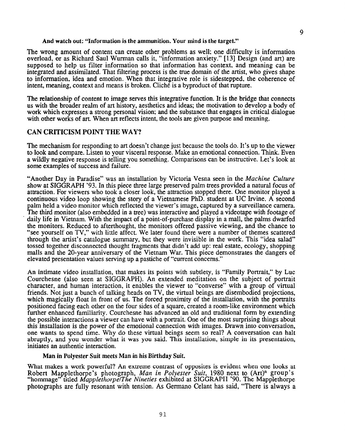### And watch out: "Information is the ammunition. Your mind is the target."

The wrong amount of content can create other problems as well; one difficulty is information overload, or as Richard Saul Wurman calls it, "information anxiety." [13] Design (and art) are supposed to help us filter information so that information has context, and meaning can be integrated and assimilated. That filtering process is the true domain of the artist, who gives shape to information, idea and emotion. When that integrative role is sidestepped, the coherence of intent, meaning, context and means is broken. Cliche is a byproduct of that rupture.

The relationship of content to image serves this integrative function. It is the bridge that connects us with the broader realm of art history, aesthetics and ideas; the motivation to develop a body of work which expresses astrong personal vision; and the substance that engages in critical dialogue with other works of art. When art reflects intent, the tools are given purpose and meaning.

## CAN CRITICISM POINT THE WAY?

The mechanism for responding to art doesn't change just because the tools do. It's up to the viewer to look and compare. Listen to your visceral response. Make an emotional connection. Think. Even a wildly negative response is telling you something. Comparisons can be instructive. Let's look at some examples of success and failure.

"Another Day in Paradise" was an installation by Victoria Vesna seen in the Machine Culture show at SIGGRAPH '93. In this piece three large preserved palm trees provided a natural focus of attraction. For viewers who took a closer look, the attraction stopped there. One monitor played a continuous video loop showing the story of a Vietnamese PhD. student at UC Irvine. A second palm held a video monitor which reflected the viewer's image, captured by a surveillance camera. The third monitor (also embedded in a tree) was interactive and played a videotape with footage of daily life in Vietnam. With the impact of a point-of-purchase display in a mall, the palms dwarfed the monitors. Reduced to afterthought, the monitors offered passive viewing, and the chance to "see yourself on TV," with little affect. We later found there were a number of themes scattered through the artist's catalogue summary, but they were invisible in the work. This "idea salad" tossed together disconnected thought fragments that didn't add up: real estate, ecology, shopping malls and the 20-year anniversary of the Vietnam War. This piece demonstrates the dangers of elevated presentation values serving up a pastiche of "current concerns. "

An intimate video installation, that makes its points with subtlety, is "Family Portrait," by Luc Courchesne (also seen at SIGGRAPH). An extended meditation on the subject of portrait character, and human interaction, it enables the viewer to "converse" with a group of virtual friends. Not just a bunch of talking heads on TV, the virtual beings are disembodied projections, which magically float in front of us. The forced proximity of the installation, with the portraits positioned facing each other on the four sides of a square, created a room-like environment which further enhanced familiarity. Courchesne has advanced an old and traditional form by extending the possible interactions a viewer can have with a portrait. One of the most surprising things about this installation is the power of the emotional connection with images. Drawn into conversation, one wants to spend time. Why do these virtual beings seem so real? A conversation can halt abruptly, and you wonder what it was you said. This installation, simple in its presentation, initiates an authentic interaction.

### Man in Polyester Suit meets Man in his Birthday Suit.

What makes a work powerful? An extreme contrast of opposites is evident when one looks at Robert Mappletho "hommage" titled *Map* e's photogra he h, *Man in Polyester Suit*, 1980 next to (Art)<sup>n</sup> group' applethorpe/The Nineties exhibited at SIGGRAPH '90. The Mapplethorpe photographs are fully resonant with tension. As Germano Celant has said, "There is always a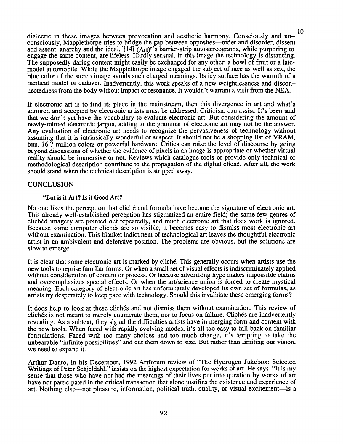dialectic in these images between provocation and aesthetic harmony. Consciously and un-10 consciously, Mapplethorpe tries to bridge the gap between opposites—order and disorder, dissent and assent, anarchy and the ideal." $[14]$  (Art)<sup>n's</sup> barrier-strip autostereograms, while purporing to engage the same content, are lifeless. Hardly sensual, in this image the technology is distancing. The supposedly daring content might easily be exchanged for any other: a bowl of fruit or a latemodel automobile. While the Mapplethorpe image engaged the subject of race as well as sex, the blue color of the stereo image avoids such charged meanings. Its icy surface has the warmth of a medical model or cadaver. Inadvertently, this work speaks of a new weightlessness and disconnectedness from the body without impact or resonance. It wouldn't warrant a visit from the NEA.

If electronic art is to find its place in the mainstream, then this divergence in art and what's admired and accepted by electronic artists must be addressed. Criticism can assist. It's been said that we don't yet have the vocabulary to evaluate electronic art. But considering the amount of newly-minted electronic jargon, adding to the grammar of electronic art may not be the answer. Any evaluation of electronic art needs to recognize the pervasiveness of technology without assuming that it is intrinsically wonderful or suspect. It should not be a shopping list of VRAM, bits, 16.7 million colors or powerful hardware. Critics can raise the level of discourse by going beyond discussions of whether the evidence of pixels in an image is appropriate or whether virtual reality should be immersive or not. Reviews which catalogue tools or provide only technical or methodological description contribute to the propagation of the digital cliche. After all, the work should stand when the technical description is stripped away.

# **CONCLUSION**

# "But is it Art? Is it Good Art?

No one likes the perception that cliché and formula have become the signature of electronic art. This already well-established perception has stigmatized an entire field; the same few genres of cliched imagery are pointed out repeatedly, and much electronic art that does work is ignored. Because some computer clichés are so visible, it becomes easy to dismiss most electronic art without examination. This blanket indictment of technological art leaves the thoughtful electronic artist in an ambivalent and defensive position. The problems are obvious, but the solutions are slow to emerge.

It is clear that some electronic art is marked by cliche. This generally occurs when artists use the new tools to reprise familiar forms. Or when a small set of visual effects is indiscriminately applied without consideration of content or process. Or because advertising hype makes impossible claims and overemphasizes special effects. Or when the art/science union is forced to create mystical meaning. Each category of electronic art has unfortunately developed its own set of formulas, as artists try desperately to keep pace with technology. Should this invalidate these emerging forms?

It does help to look at these cliches and not dismiss them without examination. This review of clichés is not meant to merely enumerate them, nor to focus on failure. Clichés are inadvertently revealing. As a subtext, they signal the difficulties artists have in merging form and content with the new tools. When faced with rapidly evolving modes, it's all too easy to fall back on familiar formulations. Faced with too many choices and too much change, it's tempting to take the unbearable "infinite possibilities" and cut them down to size. But rather than limiting our vision, we need to expand it.

Arthur Danto, in his December, 1992 Artforum review of "The Hydrogen Jukebox: Selected Writings of Peter Schjeldahl," insists on the highest expectation for works of art. He says, "It is my sense that those who have not had the meanings of their lives put into question by works of art have not participated in the critical transaction that alone justifies the existence and experience of art. Nothing else-not pleasure, information, political truth, quality, or visual excitement-is a